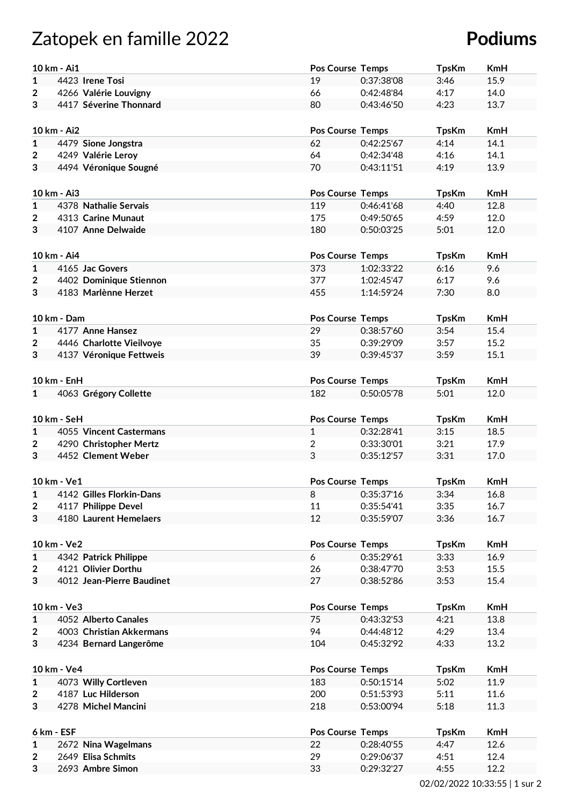## Zatopek en famille 2022 **Podiums**

|                         | 10 km - Ai1               | <b>Pos Course Temps</b> |            | <b>TpsKm</b> | <b>KmH</b> |  |  |
|-------------------------|---------------------------|-------------------------|------------|--------------|------------|--|--|
| 1                       | 4423 Irene Tosi           | 19                      | 0:37:38'08 | 3:46         | 15.9       |  |  |
| $\overline{2}$          | 4266 Valérie Louvigny     | 66                      | 0:42:48'84 | 4:17         | 14.0       |  |  |
|                         | 4417 Séverine Thonnard    |                         |            |              |            |  |  |
| 3                       |                           | 80                      | 0:43:46'50 | 4:23         | 13.7       |  |  |
|                         |                           |                         |            |              |            |  |  |
|                         | 10 km - Ai2               | <b>Pos Course Temps</b> |            | <b>TpsKm</b> | <b>KmH</b> |  |  |
| $\mathbf{1}$            | 4479 Sione Jongstra       | 62                      | 0:42:25'67 | 4:14         | 14.1       |  |  |
| $\overline{\mathbf{2}}$ | 4249 Valérie Leroy        | 64                      | 0:42:34'48 | 4:16         | 14.1       |  |  |
| 3                       | 4494 Véronique Sougné     | 70                      | 0:43:11'51 | 4:19         | 13.9       |  |  |
|                         |                           |                         |            |              |            |  |  |
|                         | 10 km - Ai3               | <b>Pos Course Temps</b> |            | <b>TpsKm</b> | <b>KmH</b> |  |  |
| $\mathbf{1}$            | 4378 Nathalie Servais     | 119                     | 0:46:41'68 | 4:40         | 12.8       |  |  |
| 2                       | 4313 Carine Munaut        | 175                     | 0:49:50'65 | 4:59         | 12.0       |  |  |
| 3                       | 4107 Anne Delwaide        | 180                     | 0:50:03'25 | 5:01         | 12.0       |  |  |
|                         |                           |                         |            |              |            |  |  |
|                         | 10 km - Ai4               | <b>Pos Course Temps</b> |            | <b>TpsKm</b> | <b>KmH</b> |  |  |
| $\mathbf{1}$            | 4165 Jac Govers           | 373                     | 1:02:33'22 | 6:16         | 9.6        |  |  |
| 2                       | 4402 Dominique Stiennon   | 377                     | 1:02:45'47 | 6:17         | 9.6        |  |  |
| 3                       | 4183 Marlènne Herzet      | 455                     | 1:14:59'24 | 7:30         | 8.0        |  |  |
|                         |                           |                         |            |              |            |  |  |
|                         | 10 km - Dam               | <b>Pos Course Temps</b> |            | <b>TpsKm</b> | <b>KmH</b> |  |  |
| $\mathbf{1}$            | 4177 Anne Hansez          | 29                      | 0:38:57'60 | 3:54         | 15.4       |  |  |
| 2                       | 4446 Charlotte Vieilvoye  | 35                      | 0:39:29'09 | 3:57         | 15.2       |  |  |
| 3                       | 4137 Véronique Fettweis   | 39                      | 0:39:45'37 | 3:59         | 15.1       |  |  |
|                         |                           |                         |            |              |            |  |  |
|                         |                           |                         |            |              |            |  |  |
|                         | 10 km - EnH               | <b>Pos Course Temps</b> |            | <b>TpsKm</b> | <b>KmH</b> |  |  |
| $\mathbf{1}$            | 4063 Grégory Collette     | 182                     | 0:50:05'78 | 5:01         | 12.0       |  |  |
|                         |                           |                         |            |              |            |  |  |
|                         | 10 km - SeH               | <b>Pos Course Temps</b> |            | <b>TpsKm</b> | <b>KmH</b> |  |  |
| $\mathbf{1}$            | 4055 Vincent Castermans   | $\mathbf{1}$            | 0:32:28'41 | 3:15         | 18.5       |  |  |
| $\overline{\mathbf{2}}$ | 4290 Christopher Mertz    | $\overline{2}$          | 0:33:30'01 | 3:21         | 17.9       |  |  |
| 3                       | 4452 Clement Weber        | 3                       | 0:35:12'57 | 3:31         | 17.0       |  |  |
|                         |                           |                         |            |              |            |  |  |
|                         | 10 km - Ve1               | <b>Pos Course Temps</b> |            | <b>TpsKm</b> | <b>KmH</b> |  |  |
| 1                       | 4142 Gilles Florkin-Dans  | 8                       | 0:35:37'16 | 3:34         | 16.8       |  |  |
| $\overline{2}$          | 4117 Philippe Devel       | 11                      | 0:35:54'41 | 3:35         | 16.7       |  |  |
| 3                       | 4180 Laurent Hemelaers    | 12                      | 0:35:59'07 | 3:36         | 16.7       |  |  |
|                         |                           |                         |            |              |            |  |  |
|                         | 10 km - Ve2               | <b>Pos Course Temps</b> |            | <b>TpsKm</b> | <b>KmH</b> |  |  |
| 1                       | 4342 Patrick Philippe     | 6                       | 0:35:29'61 | 3:33         | 16.9       |  |  |
| $\overline{\mathbf{2}}$ | 4121 Olivier Dorthu       | 26                      | 0:38:47'70 | 3:53         | 15.5       |  |  |
| 3                       | 4012 Jean-Pierre Baudinet | 27                      | 0:38:52'86 | 3:53         | 15.4       |  |  |
|                         |                           |                         |            |              |            |  |  |
|                         | 10 km - Ve3               | Pos Course Temps        |            | <b>TpsKm</b> | <b>KmH</b> |  |  |
| $\mathbf{1}$            | 4052 Alberto Canales      | 75                      | 0:43:32'53 | 4:21         | 13.8       |  |  |
| $\overline{\mathbf{2}}$ | 4003 Christian Akkermans  | 94                      | 0:44:48'12 | 4:29         | 13.4       |  |  |
| 3                       | 4234 Bernard Langerôme    | 104                     | 0:45:32'92 | 4:33         | 13.2       |  |  |
|                         |                           |                         |            |              |            |  |  |
| 10 km - Ve4             |                           | Pos Course Temps        |            |              | KmH        |  |  |
|                         |                           |                         |            | <b>TpsKm</b> |            |  |  |
| $\mathbf{1}$            | 4073 Willy Cortleven      | 183                     | 0:50:15'14 | 5:02         | 11.9       |  |  |
| $\mathbf{2}$            | 4187 Luc Hilderson        | 200                     | 0:51:53'93 | 5:11         | 11.6       |  |  |
| 3                       | 4278 Michel Mancini       | 218                     | 0:53:00'94 | 5:18         | 11.3       |  |  |
|                         |                           |                         |            |              |            |  |  |
|                         | 6 km - ESF                | <b>Pos Course Temps</b> |            | <b>TpsKm</b> | <b>KmH</b> |  |  |
| 1                       | 2672 Nina Wagelmans       | 22                      | 0:28:40'55 | 4:47         | 12.6       |  |  |
| 2                       | 2649 Elisa Schmits        | 29                      | 0:29:06'37 | 4:51         | 12.4       |  |  |
| 3                       | 2693 Ambre Simon          | 33                      | 0:29:32'27 | 4:55         | 12.2       |  |  |

02/02/2022 10:33:55 | 1 sur 2